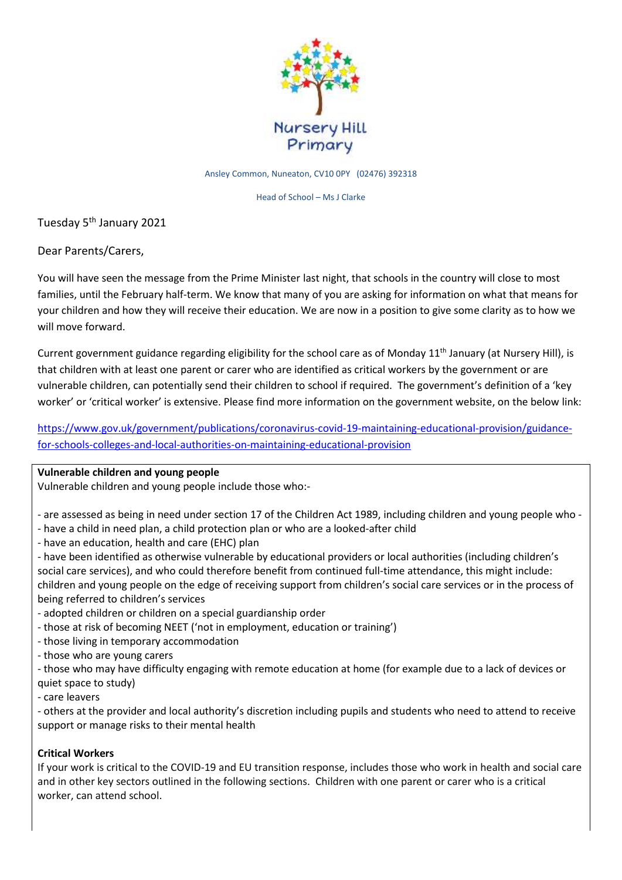

Ansley Common, Nuneaton, CV10 0PY (02476) 392318

Head of School – Ms J Clarke

Tuesday 5th January 2021

Dear Parents/Carers,

You will have seen the message from the Prime Minister last night, that schools in the country will close to most families, until the February half-term. We know that many of you are asking for information on what that means for your children and how they will receive their education. We are now in a position to give some clarity as to how we will move forward.

Current government guidance regarding eligibility for the school care as of Monday 11<sup>th</sup> January (at Nursery Hill), is that children with at least one parent or carer who are identified as critical workers by the government or are vulnerable children, can potentially send their children to school if required. The government's definition of a 'key worker' or 'critical worker' is extensive. Please find more information on the government website, on the below link:

[https://www.gov.uk/government/publications/coronavirus-covid-19-maintaining-educational-provision/guidance](https://www.gov.uk/government/publications/coronavirus-covid-19-maintaining-educational-provision/guidance-for-schools-colleges-and-local-authorities-on-maintaining-educational-provision)[for-schools-colleges-and-local-authorities-on-maintaining-educational-provision](https://www.gov.uk/government/publications/coronavirus-covid-19-maintaining-educational-provision/guidance-for-schools-colleges-and-local-authorities-on-maintaining-educational-provision)

# **Vulnerable children and young people**

Vulnerable children and young people include those who:-

- are assessed as being in need under section 17 of the Children Act 1989, including children and young people who -
- have a child in need plan, a child protection plan or who are a looked-after child
- have an education, health and care (EHC) plan

- have been identified as otherwise vulnerable by educational providers or local authorities (including children's social care services), and who could therefore benefit from continued full-time attendance, this might include: children and young people on the edge of receiving support from children's social care services or in the process of being referred to children's services

- adopted children or children on a special guardianship order
- those at risk of becoming NEET ('not in employment, education or training')
- those living in temporary accommodation
- those who are young carers
- those who may have difficulty engaging with remote education at home (for example due to a lack of devices or quiet space to study)
- care leavers

- others at the provider and local authority's discretion including pupils and students who need to attend to receive support or manage risks to their mental health

# **Critical Workers**

If your work is critical to the COVID-19 and EU transition response, includes those who work in health and social care and in other key sectors outlined in the following sections. Children with one parent or carer who is a critical worker, can attend school.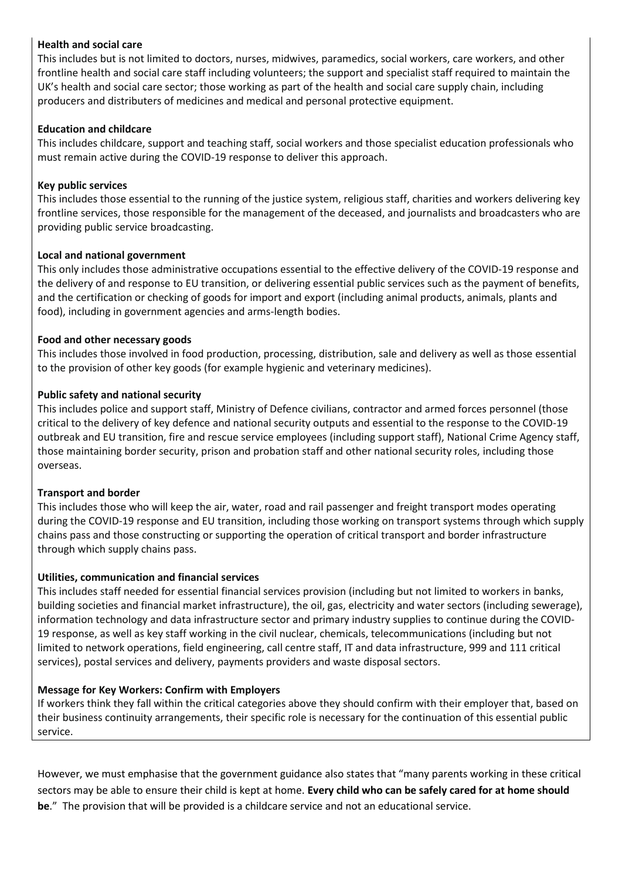# **Health and social care**

This includes but is not limited to doctors, nurses, midwives, paramedics, social workers, care workers, and other frontline health and social care staff including volunteers; the support and specialist staff required to maintain the UK's health and social care sector; those working as part of the health and social care supply chain, including producers and distributers of medicines and medical and personal protective equipment.

#### **Education and childcare**

This includes childcare, support and teaching staff, social workers and those specialist education professionals who must remain active during the COVID-19 response to deliver this approach.

#### **Key public services**

This includes those essential to the running of the justice system, religious staff, charities and workers delivering key frontline services, those responsible for the management of the deceased, and journalists and broadcasters who are providing public service broadcasting.

#### **Local and national government**

This only includes those administrative occupations essential to the effective delivery of the COVID-19 response and the delivery of and response to EU transition, or delivering essential public services such as the payment of benefits, and the certification or checking of goods for import and export (including animal products, animals, plants and food), including in government agencies and arms-length bodies.

#### **Food and other necessary goods**

This includes those involved in food production, processing, distribution, sale and delivery as well as those essential to the provision of other key goods (for example hygienic and veterinary medicines).

#### **Public safety and national security**

This includes police and support staff, Ministry of Defence civilians, contractor and armed forces personnel (those critical to the delivery of key defence and national security outputs and essential to the response to the COVID-19 outbreak and EU transition, fire and rescue service employees (including support staff), National Crime Agency staff, those maintaining border security, prison and probation staff and other national security roles, including those overseas.

# **Transport and border**

This includes those who will keep the air, water, road and rail passenger and freight transport modes operating during the COVID-19 response and EU transition, including those working on transport systems through which supply chains pass and those constructing or supporting the operation of critical transport and border infrastructure through which supply chains pass.

#### **Utilities, communication and financial services**

This includes staff needed for essential financial services provision (including but not limited to workers in banks, building societies and financial market infrastructure), the oil, gas, electricity and water sectors (including sewerage), information technology and data infrastructure sector and primary industry supplies to continue during the COVID-19 response, as well as key staff working in the civil nuclear, chemicals, telecommunications (including but not limited to network operations, field engineering, call centre staff, IT and data infrastructure, 999 and 111 critical services), postal services and delivery, payments providers and waste disposal sectors.

# **Message for Key Workers: Confirm with Employers**

If workers think they fall within the critical categories above they should confirm with their employer that, based on their business continuity arrangements, their specific role is necessary for the continuation of this essential public service.

However, we must emphasise that the government guidance also states that "many parents working in these critical sectors may be able to ensure their child is kept at home. **Every child who can be safely cared for at home should be**." The provision that will be provided is a childcare service and not an educational service.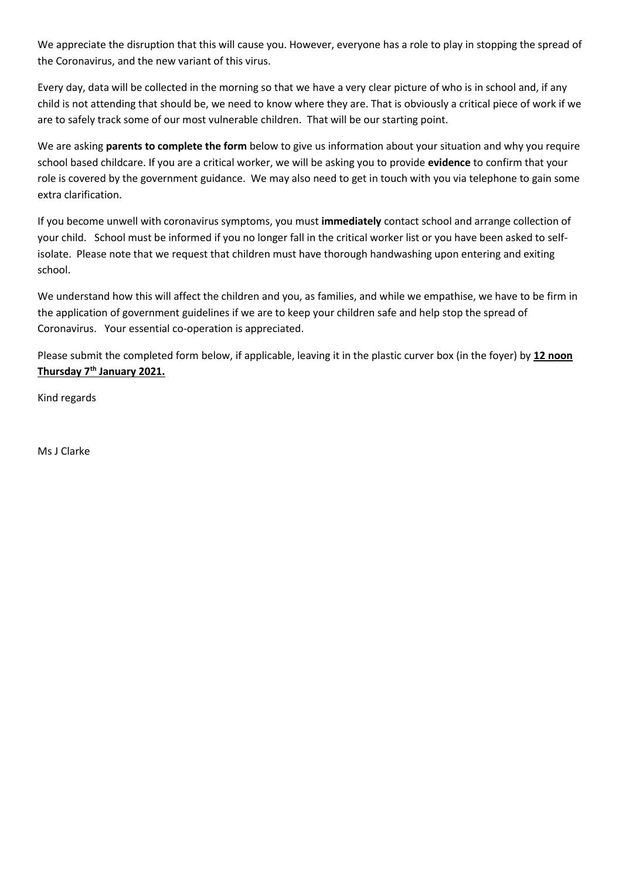We appreciate the disruption that this will cause you. However, everyone has a role to play in stopping the spread of the Coronavirus, and the new variant of this virus.

Every day, data will be collected in the morning so that we have a very clear picture of who is in school and, if any child is not attending that should be, we need to know where they are. That is obviously a critical piece of work if we are to safely track some of our most vulnerable children. That will be our starting point.

We are asking **parents to complete the form** below to give us information about your situation and why you require school based childcare. If you are a critical worker, we will be asking you to provide **evidence** to confirm that your role is covered by the government guidance. We may also need to get in touch with you via telephone to gain some extra clarification.

If you become unwell with coronavirus symptoms, you must **immediately** contact school and arrange collection of your child. School must be informed if you no longer fall in the critical worker list or you have been asked to selfisolate. Please note that we request that children must have thorough handwashing upon entering and exiting school.

We understand how this will affect the children and you, as families, and while we empathise, we have to be firm in the application of government guidelines if we are to keep your children safe and help stop the spread of Coronavirus. Your essential co-operation is appreciated.

Please submit the completed form below, if applicable, leaving it in the plastic curver box (in the foyer) by **12 noon Thursday 7th January 2021.**

Kind regards

Ms J Clarke